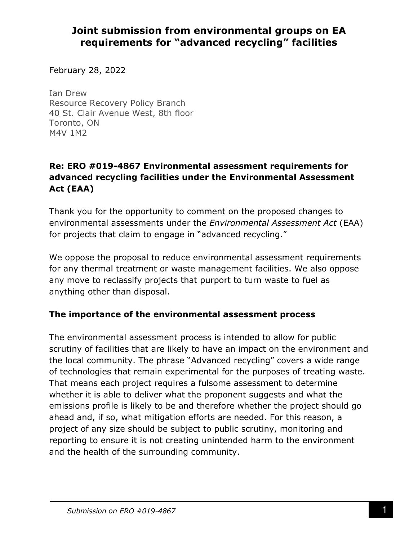# **Joint submission from environmental groups on EA requirements for "advanced recycling" facilities**

February 28, 2022

Ian Drew Resource Recovery Policy Branch 40 St. Clair Avenue West, 8th floor Toronto, ON M4V 1M2

## **Re: ERO #019-4867 Environmental assessment requirements for advanced recycling facilities under the Environmental Assessment Act (EAA)**

Thank you for the opportunity to comment on the proposed changes to environmental assessments under the *Environmental Assessment Act* (EAA) for projects that claim to engage in "advanced recycling."

We oppose the proposal to reduce environmental assessment requirements for any thermal treatment or waste management facilities. We also oppose any move to reclassify projects that purport to turn waste to fuel as anything other than disposal.

### **The importance of the environmental assessment process**

The environmental assessment process is intended to allow for public scrutiny of facilities that are likely to have an impact on the environment and the local community. The phrase "Advanced recycling" covers a wide range of technologies that remain experimental for the purposes of treating waste. That means each project requires a fulsome assessment to determine whether it is able to deliver what the proponent suggests and what the emissions profile is likely to be and therefore whether the project should go ahead and, if so, what mitigation efforts are needed. For this reason, a project of any size should be subject to public scrutiny, monitoring and reporting to ensure it is not creating unintended harm to the environment and the health of the surrounding community.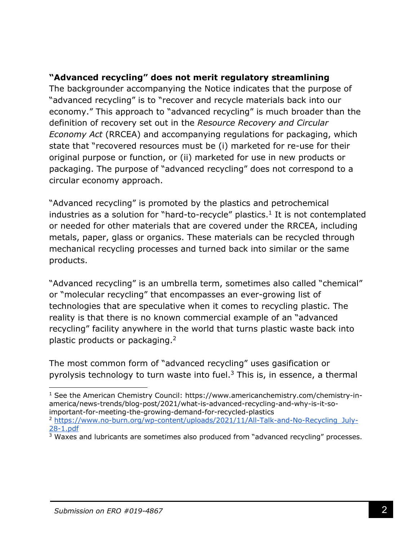### **"Advanced recycling" does not merit regulatory streamlining**

The backgrounder accompanying the Notice indicates that the purpose of "advanced recycling" is to "recover and recycle materials back into our economy." This approach to "advanced recycling" is much broader than the definition of recovery set out in the *Resource Recovery and Circular Economy Act* (RRCEA) and accompanying regulations for packaging, which state that "recovered resources must be (i) marketed for re-use for their original purpose or function, or (ii) marketed for use in new products or packaging. The purpose of "advanced recycling" does not correspond to a circular economy approach.

"Advanced recycling" is promoted by the plastics and petrochemical industries as a solution for "hard-to-recycle" plastics. $<sup>1</sup>$  It is not contemplated</sup> or needed for other materials that are covered under the RRCEA, including metals, paper, glass or organics. These materials can be recycled through mechanical recycling processes and turned back into similar or the same products.

"Advanced recycling" is an umbrella term, sometimes also called "chemical" or "molecular recycling" that encompasses an ever-growing list of technologies that are speculative when it comes to recycling plastic. The reality is that there is no known commercial example of an "advanced recycling" facility anywhere in the world that turns plastic waste back into plastic products or packaging.2

The most common form of "advanced recycling" uses gasification or pyrolysis technology to turn waste into fuel.<sup>3</sup> This is, in essence, a thermal

<sup>&</sup>lt;sup>1</sup> See the American Chemistry Council: https://www.americanchemistry.com/chemistry-inamerica/news-trends/blog-post/2021/what-is-advanced-recycling-and-why-is-it-soimportant-for-meeting-the-growing-demand-for-recycled-plastics <sup>2</sup> https://www.no-burn.org/wp-content/uploads/2021/11/All-Talk-and-No-Recycling\_July-

<sup>28-1.</sup>pdf

 $3$  Waxes and lubricants are sometimes also produced from "advanced recycling" processes.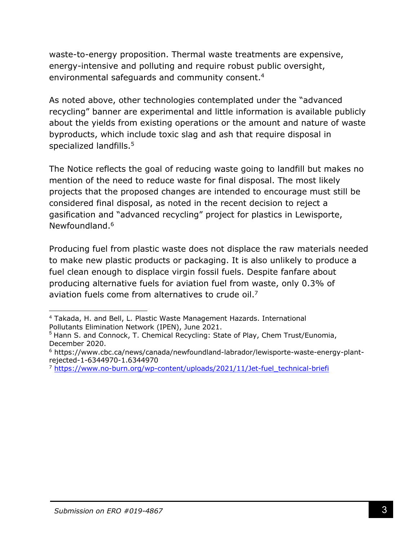waste-to-energy proposition. Thermal waste treatments are expensive, energy-intensive and polluting and require robust public oversight, environmental safeguards and community consent.4

As noted above, other technologies contemplated under the "advanced recycling" banner are experimental and little information is available publicly about the yields from existing operations or the amount and nature of waste byproducts, which include toxic slag and ash that require disposal in specialized landfills.<sup>5</sup>

The Notice reflects the goal of reducing waste going to landfill but makes no mention of the need to reduce waste for final disposal. The most likely projects that the proposed changes are intended to encourage must still be considered final disposal, as noted in the recent decision to reject a gasification and "advanced recycling" project for plastics in Lewisporte, Newfoundland.6

Producing fuel from plastic waste does not displace the raw materials needed to make new plastic products or packaging. It is also unlikely to produce a fuel clean enough to displace virgin fossil fuels. Despite fanfare about producing alternative fuels for aviation fuel from waste, only 0.3% of aviation fuels come from alternatives to crude oil.<sup>7</sup>

<sup>4</sup> Takada, H. and Bell, L. Plastic Waste Management Hazards. International Pollutants Elimination Network (IPEN), June 2021.

 $5$  Hann S. and Connock, T. Chemical Recycling: State of Play, Chem Trust/Eunomia, December 2020.

<sup>6</sup> https://www.cbc.ca/news/canada/newfoundland-labrador/lewisporte-waste-energy-plantrejected-1-6344970-1.6344970

<sup>&</sup>lt;sup>7</sup> https://www.no-burn.org/wp-content/uploads/2021/11/Jet-fuel\_technical-briefi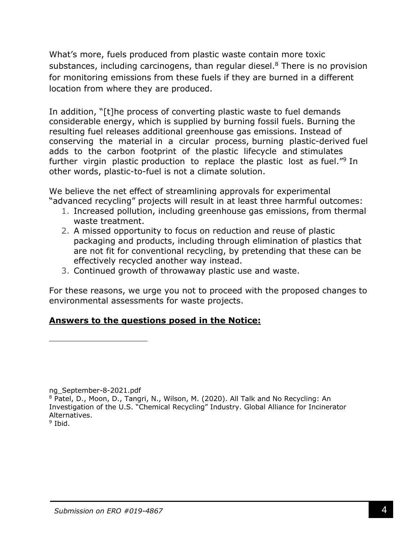What's more, fuels produced from plastic waste contain more toxic substances, including carcinogens, than regular diesel.<sup>8</sup> There is no provision for monitoring emissions from these fuels if they are burned in a different location from where they are produced.

In addition, "[t]he process of converting plastic waste to fuel demands considerable energy, which is supplied by burning fossil fuels. Burning the resulting fuel releases additional greenhouse gas emissions. Instead of conserving the material in a circular process, burning plastic-derived fuel adds to the carbon footprint of the plastic lifecycle and stimulates further virgin plastic production to replace the plastic lost as fuel."<sup>9</sup> In other words, plastic-to-fuel is not a climate solution.

We believe the net effect of streamlining approvals for experimental "advanced recycling" projects will result in at least three harmful outcomes:

- 1. Increased pollution, including greenhouse gas emissions, from thermal waste treatment.
- 2. A missed opportunity to focus on reduction and reuse of plastic packaging and products, including through elimination of plastics that are not fit for conventional recycling, by pretending that these can be effectively recycled another way instead.
- 3. Continued growth of throwaway plastic use and waste.

For these reasons, we urge you not to proceed with the proposed changes to environmental assessments for waste projects.

### **Answers to the questions posed in the Notice:**

ng\_September-8-2021.pdf <sup>8</sup> Patel, D., Moon, D., Tangri, N., Wilson, M. (2020). All Talk and No Recycling: An Investigation of the U.S. "Chemical Recycling" Industry. Global Alliance for Incinerator Alternatives.  $9$  Ibid.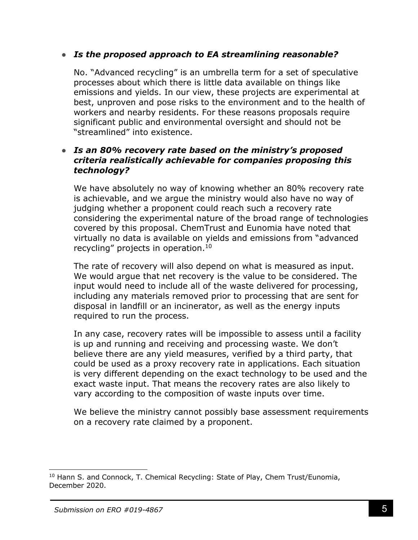#### ● *Is the proposed approach to EA streamlining reasonable?*

No. "Advanced recycling" is an umbrella term for a set of speculative processes about which there is little data available on things like emissions and yields. In our view, these projects are experimental at best, unproven and pose risks to the environment and to the health of workers and nearby residents. For these reasons proposals require significant public and environmental oversight and should not be "streamlined" into existence.

### ● *Is an 80% recovery rate based on the ministry's proposed criteria realistically achievable for companies proposing this technology?*

We have absolutely no way of knowing whether an 80% recovery rate is achievable, and we argue the ministry would also have no way of judging whether a proponent could reach such a recovery rate considering the experimental nature of the broad range of technologies covered by this proposal. ChemTrust and Eunomia have noted that virtually no data is available on yields and emissions from "advanced recycling" projects in operation.10

The rate of recovery will also depend on what is measured as input. We would argue that net recovery is the value to be considered. The input would need to include all of the waste delivered for processing, including any materials removed prior to processing that are sent for disposal in landfill or an incinerator, as well as the energy inputs required to run the process.

In any case, recovery rates will be impossible to assess until a facility is up and running and receiving and processing waste. We don't believe there are any yield measures, verified by a third party, that could be used as a proxy recovery rate in applications. Each situation is very different depending on the exact technology to be used and the exact waste input. That means the recovery rates are also likely to vary according to the composition of waste inputs over time.

We believe the ministry cannot possibly base assessment requirements on a recovery rate claimed by a proponent.

<sup>&</sup>lt;sup>10</sup> Hann S. and Connock, T. Chemical Recycling: State of Play, Chem Trust/Eunomia, December 2020.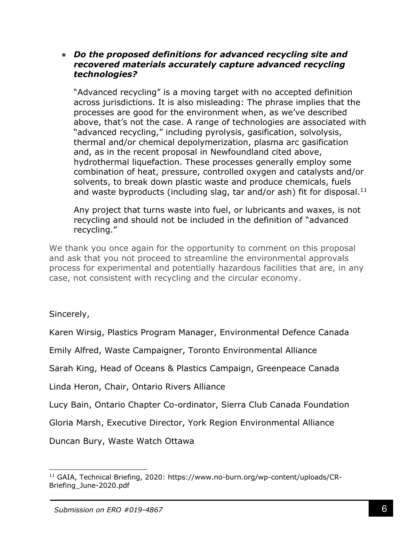#### ● *Do the proposed definitions for advanced recycling site and recovered materials accurately capture advanced recycling technologies?*

"Advanced recycling" is a moving target with no accepted definition across jurisdictions. It is also misleading: The phrase implies that the processes are good for the environment when, as we've described above, that's not the case. A range of technologies are associated with "advanced recycling," including pyrolysis, gasification, solvolysis, thermal and/or chemical depolymerization, plasma arc gasification and, as in the recent proposal in Newfoundland cited above, hydrothermal liquefaction. These processes generally employ some combination of heat, pressure, controlled oxygen and catalysts and/or solvents, to break down plastic waste and produce chemicals, fuels and waste byproducts (including slag, tar and/or ash) fit for disposal. $^{11}$ 

Any project that turns waste into fuel, or lubricants and waxes, is not recycling and should not be included in the definition of "advanced recycling."

We thank you once again for the opportunity to comment on this proposal and ask that you not proceed to streamline the environmental approvals process for experimental and potentially hazardous facilities that are, in any case, not consistent with recycling and the circular economy.

Sincerely,

Karen Wirsig, Plastics Program Manager, Environmental Defence Canada

Emily Alfred, Waste Campaigner, Toronto Environmental Alliance

Sarah King, Head of Oceans & Plastics Campaign, Greenpeace Canada

Linda Heron, Chair, Ontario Rivers Alliance

Lucy Bain, Ontario Chapter Co-ordinator, Sierra Club Canada Foundation

Gloria Marsh, Executive Director, York Region Environmental Alliance

Duncan Bury, Waste Watch Ottawa

<sup>11</sup> GAIA, Technical Briefing, 2020: https://www.no-burn.org/wp-content/uploads/CR-Briefing\_June-2020.pdf